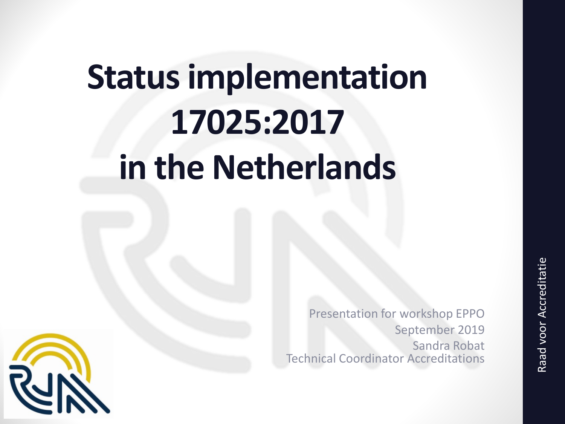# **Status implementation 17025:2017 in the Netherlands**

Presentation for workshop EPPO September 2019 Sandra Robat Technical Coordinator Accreditations

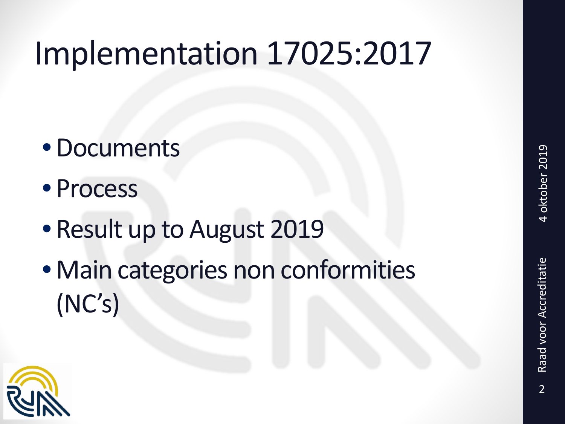### Implementation 17025:2017

- •Documents
- Process
- Result up to August 2019
- Main categories non conformities (NC's)

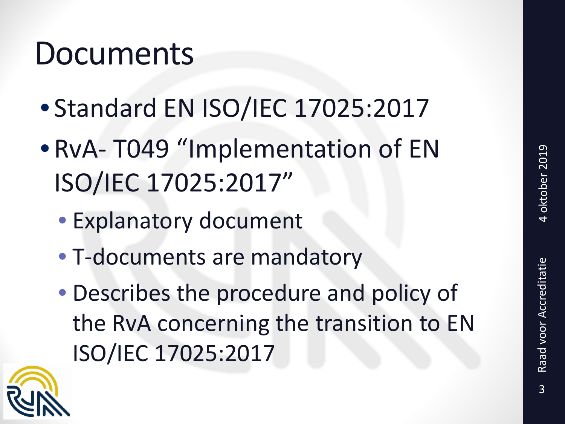#### Documents

- Standard EN ISO/IEC 17025:2017
- RvA- T049 "Implementation of EN ISO/IEC 17025:2017"
	- Explanatory document
	- T-documents are mandatory
	- Describes the procedure and policy of the RvA concerning the transition to EN ISO/IEC 17025:2017

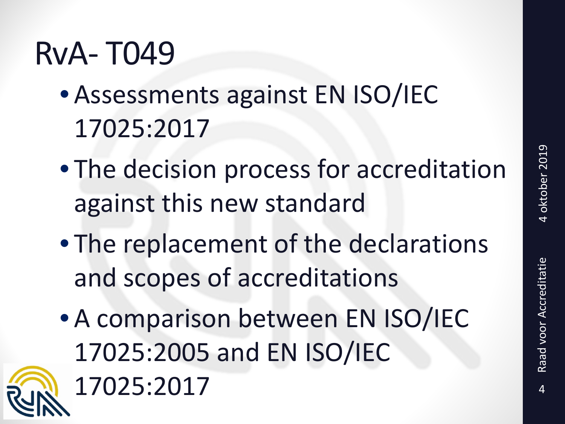Raad voor Accreditatie

# RvA- T049

- Assessments against EN ISO/IEC 17025:2017
- The decision process for accreditation against this new standard
- The replacement of the declarations and scopes of accreditations
- A comparison between EN ISO/IEC 17025:2005 and EN ISO/IEC 17025:2017 4

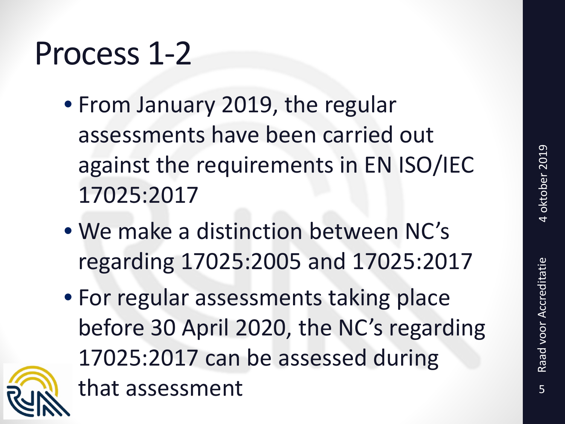#### Process 1-2

- From January 2019, the regular assessments have been carried out against the requirements in EN ISO/IEC 17025:2017
- We make a distinction between NC's regarding 17025:2005 and 17025:2017
- For regular assessments taking place before 30 April 2020, the NC's regarding 17025:2017 can be assessed during that assessment 5

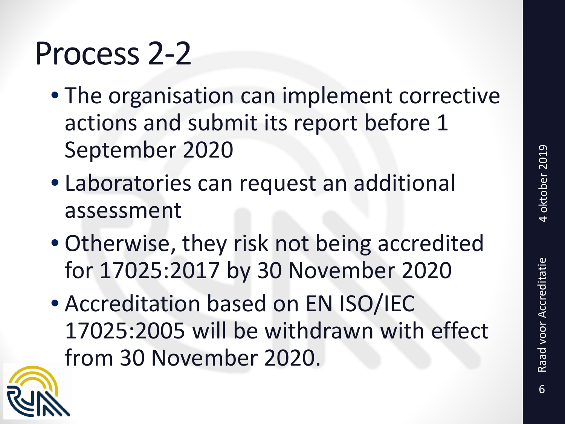#### Process 2-2

- The organisation can implement corrective actions and submit its report before 1 September 2020
- Laboratories can request an additional assessment
- Otherwise, they risk not being accredited for 17025:2017 by 30 November 2020
- Accreditation based on EN ISO/IEC 17025:2005 will be withdrawn with effect from 30 November 2020.

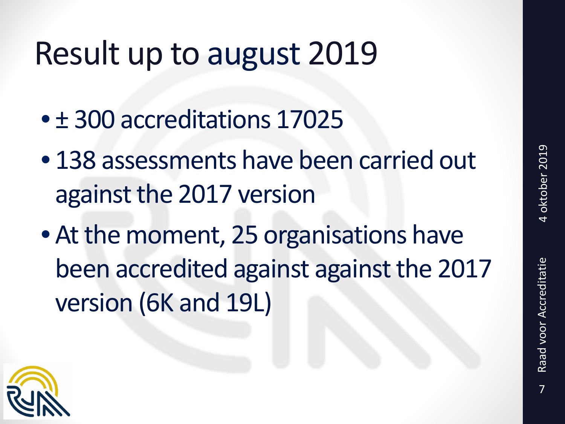### Result up to august 2019

- ± 300 accreditations 17025
- 138 assessments have been carried out against the 2017 version
- At the moment, 25 organisations have been accredited against against the 2017 version (6K and 19L)

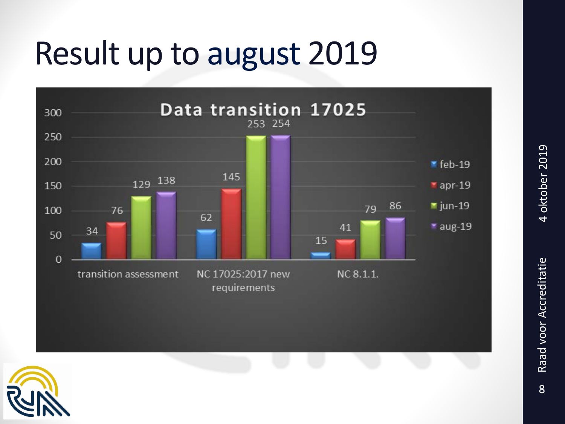### Result up to august 2019





4 oktober 2019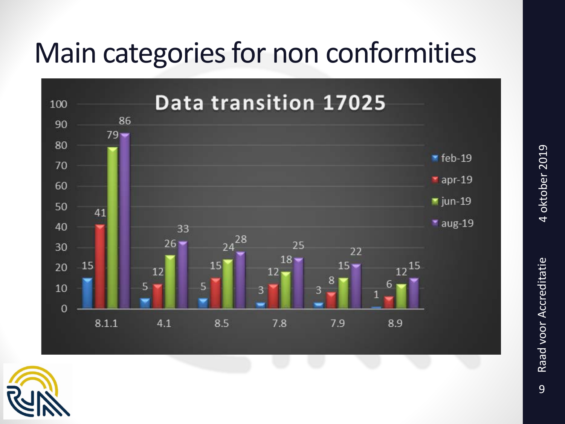#### Main categories for non conformities





4 oktober 2019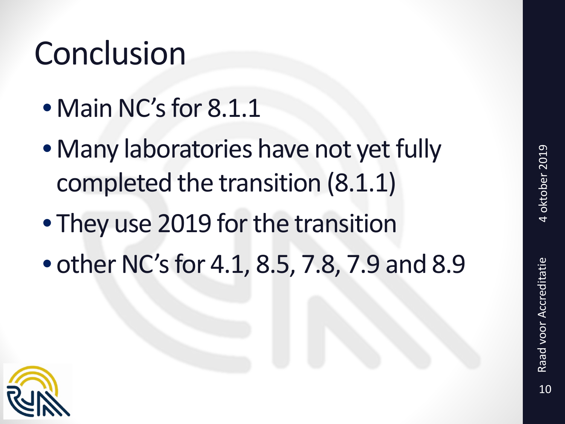# Conclusion

- Main NC's for 8.1.1
- Many laboratories have not yet fully completed the transition (8.1.1)
- They use 2019 for the transition
- other NC's for 4.1, 8.5, 7.8, 7.9 and 8.9